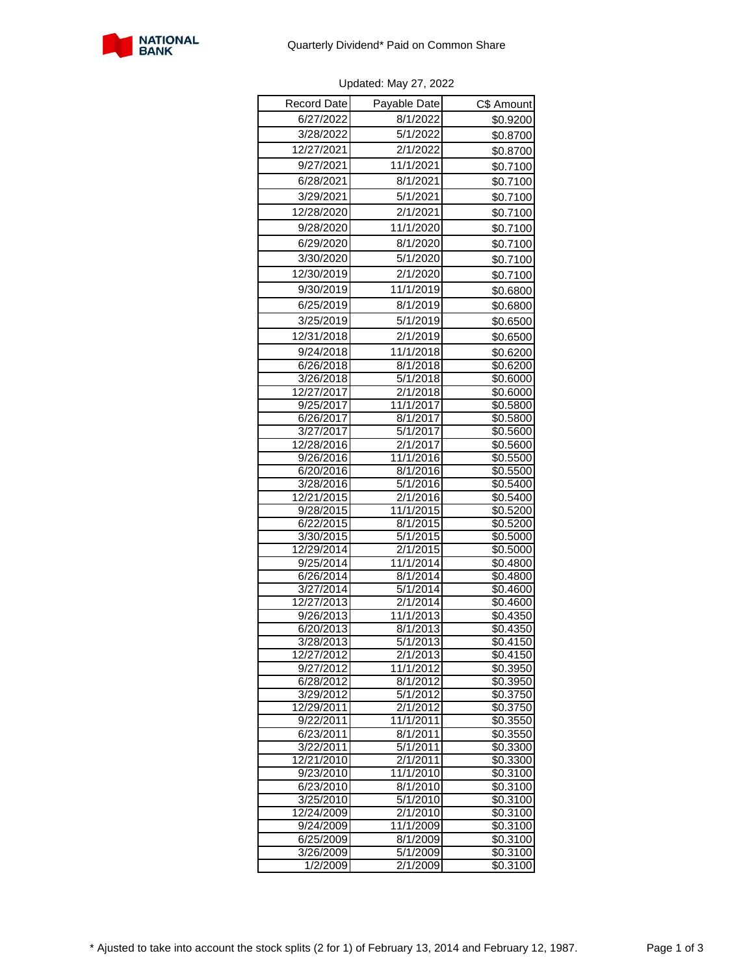

| Record Date             | Payable Date                      | C\$ Amount                       |
|-------------------------|-----------------------------------|----------------------------------|
| 6/27/2022               | 8/1/2022                          | \$0.9200                         |
| 3/28/2022               | 5/1/2022                          | \$0.8700                         |
| 12/27/2021              | 2/1/2022                          | \$0.8700                         |
| 9/27/2021               | 11/1/2021                         | \$0.7100                         |
| 6/28/2021               | 8/1/2021                          |                                  |
| 3/29/2021               | 5/1/2021                          | \$0.7100                         |
|                         |                                   | \$0.7100                         |
| 12/28/2020              | 2/1/2021                          | \$0.7100                         |
| 9/28/2020               | 11/1/2020                         | \$0.7100                         |
| 6/29/2020               | 8/1/2020                          | \$0.7100                         |
| 3/30/2020               | 5/1/2020                          | \$0.7100                         |
| 12/30/2019              | 2/1/2020                          | \$0.7100                         |
| 9/30/2019               | 11/1/2019                         | \$0.6800                         |
| 6/25/2019               | 8/1/2019                          | \$0.6800                         |
| 3/25/2019               | 5/1/2019                          | \$0.6500                         |
| 12/31/2018              | 2/1/2019                          | \$0.6500                         |
| 9/24/2018               | 11/1/2018                         | \$0.6200                         |
| 6/26/2018               | 8/1/2018                          | \$0.6200                         |
| 3/26/2018               | 5/1/2018                          | \$0.6000                         |
| 12/27/2017              | 2/1/2018                          | \$0.6000                         |
| 9/25/2017               | 11/1/2017                         | \$0.5800                         |
| 6/26/2017               | 8/1/2017                          | \$0.5800                         |
| 3/27/2017               | 5/1/2017                          | \$0.5600                         |
| 12/28/2016              | 2/1/2017                          | \$0.5600                         |
| 9/26/2016               | 11/1/2016                         | \$0.5500                         |
| 6/20/2016               | 8/1/2016                          | \$0.5500                         |
| 3/28/2016               | 5/1/2016                          | \$0.5400                         |
| 12/21/2015              | 2/1/2016                          | \$0.5400                         |
| 9/28/2015               | 11/1/2015<br>8/1/2015             | \$0.5200<br>$\overline{$}0.5200$ |
| 6/22/2015<br>3/30/2015  | 5/1/2015                          | \$0.5000                         |
| 12/29/2014              | 2/1/2015                          | \$0.5000                         |
| 9/25/2014               | 11/1/2014                         | \$0.4800                         |
| 6/26/2014               | $\frac{8}{1/2014}$                | \$0.4800                         |
| 3/27/2014               | 5/1/2014                          | \$0.4600                         |
| 12/27/2013              | 2/1/2014                          | \$0.4600                         |
| 9/26/2013               | 11/1/2013                         | \$0.4350                         |
| 6/20/2013               | 8/1/2013                          | \$0.4350                         |
| 3/28/2013               | 5/1/2013                          | \$0.4150                         |
| 12/27/2012              | 2/1/2013                          | \$0.4150                         |
| 9/27/2012               | 11/1/2012                         | \$0.3950                         |
| 6/28/2012               | 8/1/2012                          | \$0.3950                         |
| 3/29/2012<br>12/29/2011 | $\frac{1}{2}$ /1/2012<br>2/1/2012 | \$0.3750<br>\$0.3750             |
| 9/22/2011               | 11/1/2011                         | $\sqrt{$0.3550}$                 |
| 6/23/2011               | 8/1/2011                          | \$0.3550                         |
| 3/22/2011               | 5/1/2011                          | \$0.3300                         |
| 12/21/2010              | 2/1/2011                          | \$0.3300                         |
| 9/23/2010               | 11/1/2010                         | $\overline{$}0.3100$             |
| 6/23/2010               | 8/1/2010                          | \$0.3100                         |
| 3/25/2010               | 5/1/2010                          | \$0.3100                         |
| 12/24/2009              | $\sqrt{2/1/2010}$                 | \$0.3100                         |
| 9/24/2009               | 11/1/2009                         | \$0.3100                         |
| 6/25/2009               | 8/1/2009                          | \$0.3100                         |
| 3/26/2009               | 5/1/2009                          | \$0.3100                         |
| 1/2/2009                | 2/1/2009                          | \$0.3100                         |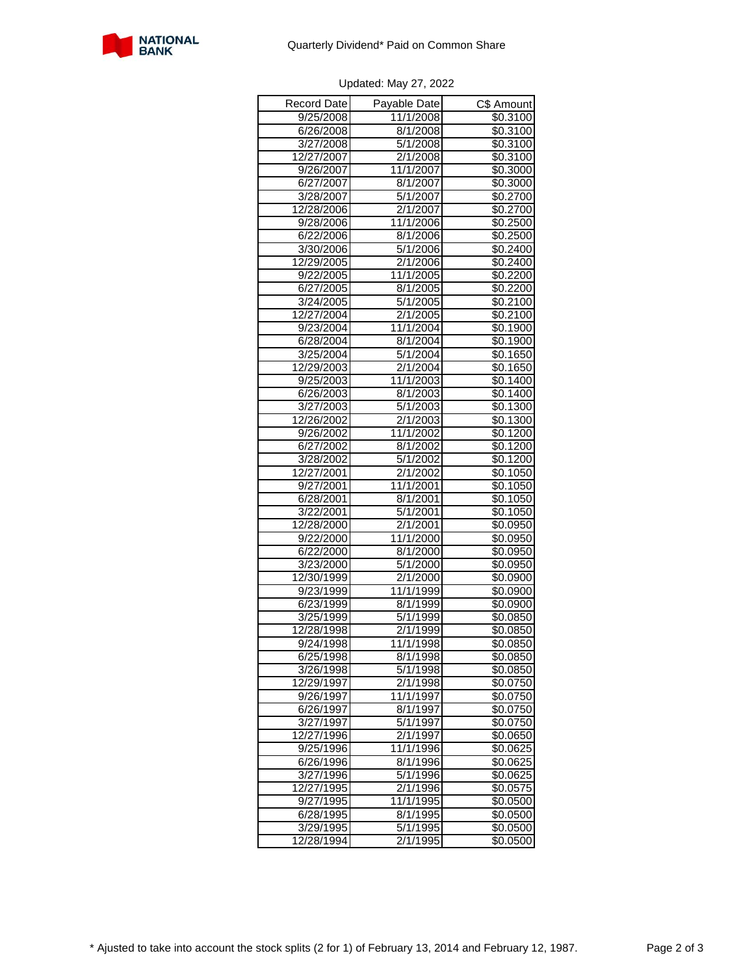

| Record Date | Payable Date      | C\$ Amount           |
|-------------|-------------------|----------------------|
| 9/25/2008   | 11/1/2008         | \$0.3100             |
| 6/26/2008   | 8/1/2008          | \$0.3100             |
| 3/27/2008   | 5/1/2008          | \$0.3100             |
| 12/27/2007  | 2/1/2008          | \$0.3100             |
| 9/26/2007   | 11/1/2007         | \$0.3000             |
| 6/27/2007   | 8/1/2007          | \$0.3000             |
| 3/28/2007   | 5/1/2007          | \$0.2700             |
| 12/28/2006  | 2/1/2007          | \$0.2700             |
| 9/28/2006   | 11/1/2006         | \$0.2500             |
| 6/22/2006   | 8/1/2006          | \$0.2500             |
| 3/30/2006   | 5/1/2006          | \$0.2400             |
| 12/29/2005  | 2/1/2006          | \$0.2400             |
| 9/22/2005   | 11/1/2005         | \$0.2200             |
| 6/27/2005   | 8/1/2005          | \$0.2200             |
| 3/24/2005   | 5/1/2005          | \$0.2100             |
| 12/27/2004  | 2/1/2005          | \$0.2100             |
| 9/23/2004   | 11/1/2004         | \$0.1900             |
| 6/28/2004   | 8/1/2004          | \$0.1900             |
| 3/25/2004   | 5/1/2004          | $\overline{$0.1650}$ |
| 12/29/2003  | 2/1/2004          | \$0.1650             |
| 9/25/2003   | 11/1/2003         | \$0.1400             |
| 6/26/2003   | 8/1/2003          | \$0.1400             |
| 3/27/2003   | 5/1/2003          | \$0.1300             |
| 12/26/2002  | 2/1/2003          | \$0.1300             |
| 9/26/2002   | 11/1/2002         | \$0.1200             |
| 6/27/2002   | 8/1/2002          | \$0.1200             |
| 3/28/2002   | 5/1/2002          | \$0.1200             |
| 12/27/2001  | 2/1/2002          | \$0.1050             |
| 9/27/2001   | 11/1/2001         | \$0.1050             |
| 6/28/2001   | 8/1/2001          | \$0.1050             |
| 3/22/2001   | 5/1/2001          | \$0.1050             |
| 12/28/2000  | 2/1/2001          | \$0.0950             |
| 9/22/2000   | 11/1/2000         | \$0.0950             |
| 6/22/2000   | 8/1/2000          | \$0.0950             |
| 3/23/2000   | 5/1/2000          | \$0.0950             |
| 12/30/1999  | 2/1/2000          | \$0.0900             |
| 9/23/1999   | 11/1/1999         | \$0.0900             |
| 6/23/1999   | 8/1/1999          | \$0.0900             |
| 3/25/1999   | 5/1/1999          | \$0.0850             |
| 12/28/1998  | $\sqrt{2}/1/1999$ | \$0.0850             |
| 9/24/1998   | 11/1/1998         | \$0.0850             |
| 6/25/1998   | 8/1/1998          | \$0.0850             |
| 3/26/1998   | 5/1/1998          | \$0.0850             |
| 12/29/1997  | 2/1/1998          | \$0.0750             |
| 9/26/1997   | 11/1/1997         | \$0.0750             |
| 6/26/1997   | 8/1/1997          | \$0.0750             |
| 3/27/1997   | 5/1/1997          | \$0.0750             |
| 12/27/1996  | 2/1/1997          | \$0.0650             |
| 9/25/1996   | 11/1/1996         | \$0.0625             |
| 6/26/1996   | 8/1/1996          | \$0.0625             |
| 3/27/1996   | 5/1/1996          | $\sqrt{$0.0625}$     |
| 12/27/1995  | 2/1/1996          | \$0.0575             |
| 9/27/1995   | 11/1/1995         | \$0.0500             |
| 6/28/1995   | 8/1/1995          | \$0.0500             |
| 3/29/1995   | 5/1/1995          | \$0.0500             |
| 12/28/1994  | $\sqrt{2}/1/1995$ | $\overline{$}0.0500$ |